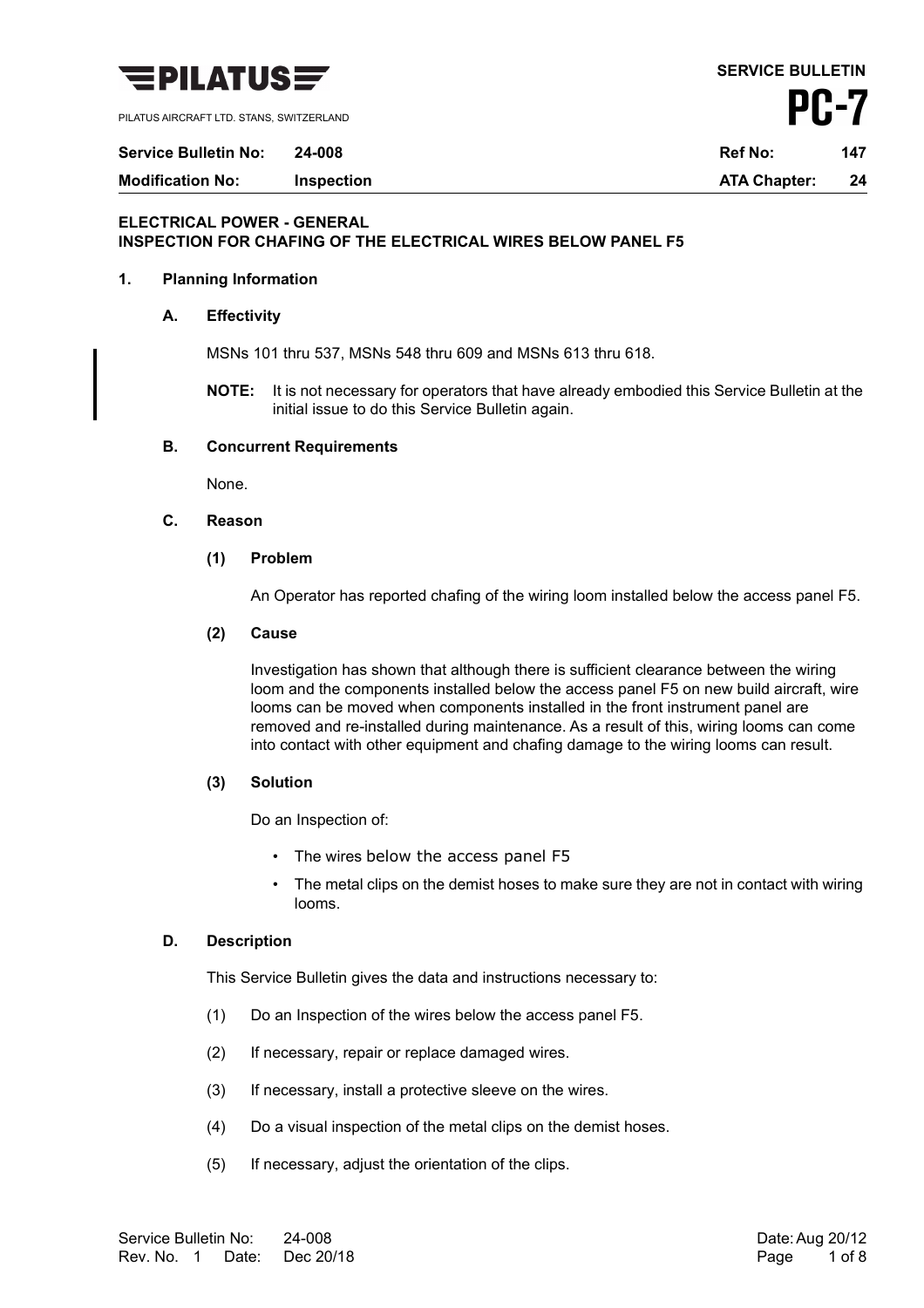

PILATUS AIRCRAFT LTD. STANS, SWITZERLAND

**Service Bulletin No: 24-008 Ref No: 147** 

**Modification No: Inspection ATA Chapter: 24**

# **ELECTRICAL POWER - GENERAL INSPECTION FOR CHAFING OF THE ELECTRICAL WIRES BELOW PANEL F5**

## **1. Planning Information**

## **A. Effectivity**

MSNs 101 thru 537, MSNs 548 thru 609 and MSNs 613 thru 618.

**NOTE:** It is not necessary for operators that have already embodied this Service Bulletin at the initial issue to do this Service Bulletin again.

### **B. Concurrent Requirements**

None.

### **C. Reason**

### **(1) Problem**

An Operator has reported chafing of the wiring loom installed below the access panel F5.

# **(2) Cause**

Investigation has shown that although there is sufficient clearance between the wiring loom and the components installed below the access panel F5 on new build aircraft, wire looms can be moved when components installed in the front instrument panel are removed and re-installed during maintenance. As a result of this, wiring looms can come into contact with other equipment and chafing damage to the wiring looms can result.

### **(3) Solution**

Do an Inspection of:

- The wires below the access panel F5
- The metal clips on the demist hoses to make sure they are not in contact with wiring looms.

### **D. Description**

This Service Bulletin gives the data and instructions necessary to:

- (1) Do an Inspection of the wires below the access panel F5.
- (2) If necessary, repair or replace damaged wires.
- (3) If necessary, install a protective sleeve on the wires.
- (4) Do a visual inspection of the metal clips on the demist hoses.
- (5) If necessary, adjust the orientation of the clips.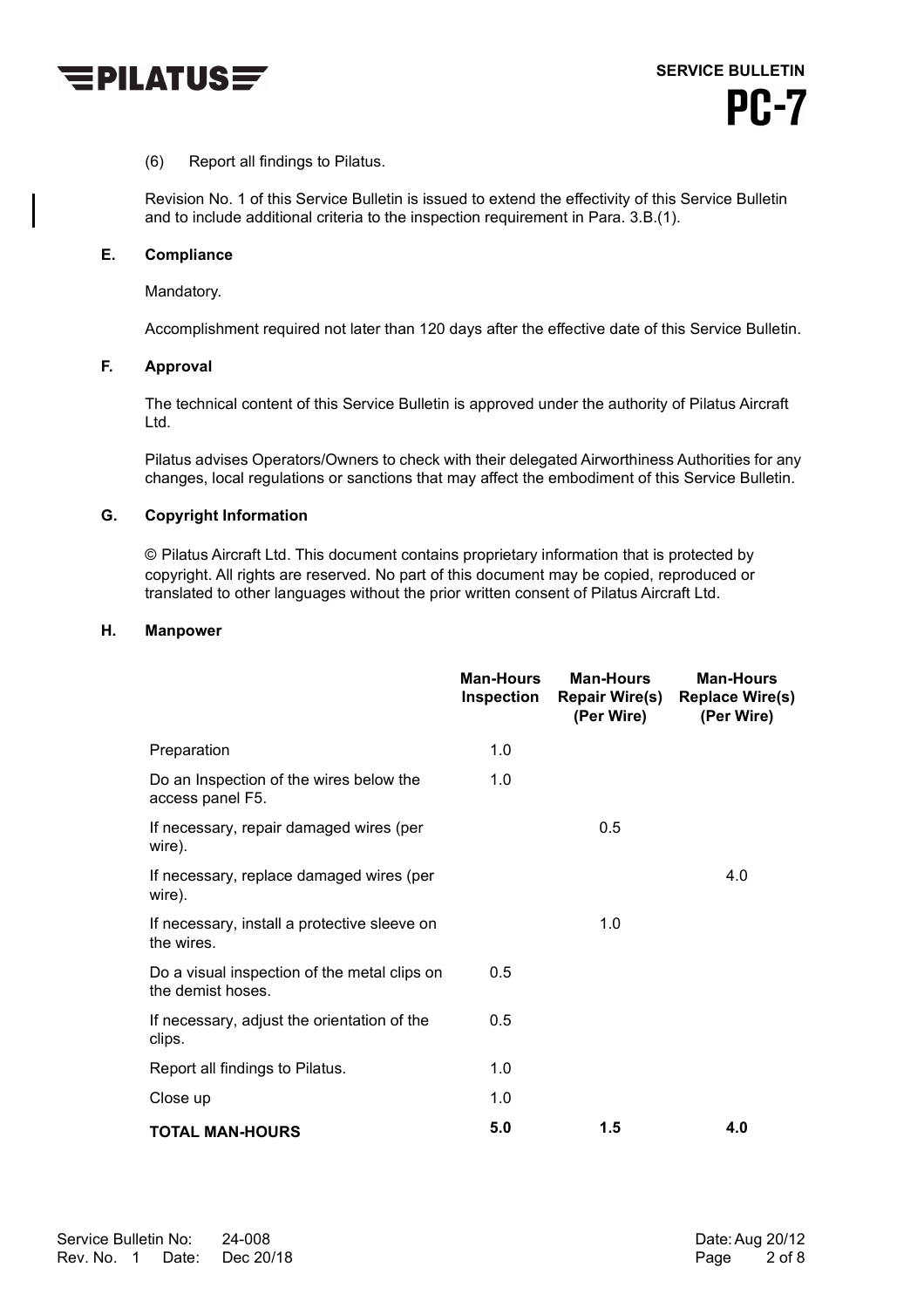

#### (6) Report all findings to Pilatus.

Revision No. 1 of this Service Bulletin is issued to extend the effectivity of this Service Bulletin and to include additional criteria to the inspection requirement in Para. 3.B.(1).

#### **E. Compliance**

Mandatory.

Accomplishment required not later than 120 days after the effective date of this Service Bulletin.

# **F. Approval**

The technical content of this Service Bulletin is approved under the authority of Pilatus Aircraft Ltd.

Pilatus advises Operators/Owners to check with their delegated Airworthiness Authorities for any changes, local regulations or sanctions that may affect the embodiment of this Service Bulletin.

## **G. Copyright Information**

© Pilatus Aircraft Ltd. This document contains proprietary information that is protected by copyright. All rights are reserved. No part of this document may be copied, reproduced or translated to other languages without the prior written consent of Pilatus Aircraft Ltd.

#### **H. Manpower**

|                                                                   | <b>Man-Hours</b><br><b>Inspection</b> | <b>Man-Hours</b><br><b>Repair Wire(s)</b><br>(Per Wire) | <b>Man-Hours</b><br><b>Replace Wire(s)</b><br>(Per Wire) |
|-------------------------------------------------------------------|---------------------------------------|---------------------------------------------------------|----------------------------------------------------------|
| Preparation                                                       | 1.0                                   |                                                         |                                                          |
| Do an Inspection of the wires below the<br>access panel F5.       | 1.0                                   |                                                         |                                                          |
| If necessary, repair damaged wires (per<br>wire).                 |                                       | 0.5                                                     |                                                          |
| If necessary, replace damaged wires (per<br>wire).                |                                       |                                                         | 4.0                                                      |
| If necessary, install a protective sleeve on<br>the wires.        |                                       | 1.0                                                     |                                                          |
| Do a visual inspection of the metal clips on<br>the demist hoses. | 0.5                                   |                                                         |                                                          |
| If necessary, adjust the orientation of the<br>clips.             | 0.5                                   |                                                         |                                                          |
| Report all findings to Pilatus.                                   | 1.0                                   |                                                         |                                                          |
| Close up                                                          | 1.0                                   |                                                         |                                                          |
| <b>TOTAL MAN-HOURS</b>                                            | 5.0                                   | 1.5                                                     | 4.0                                                      |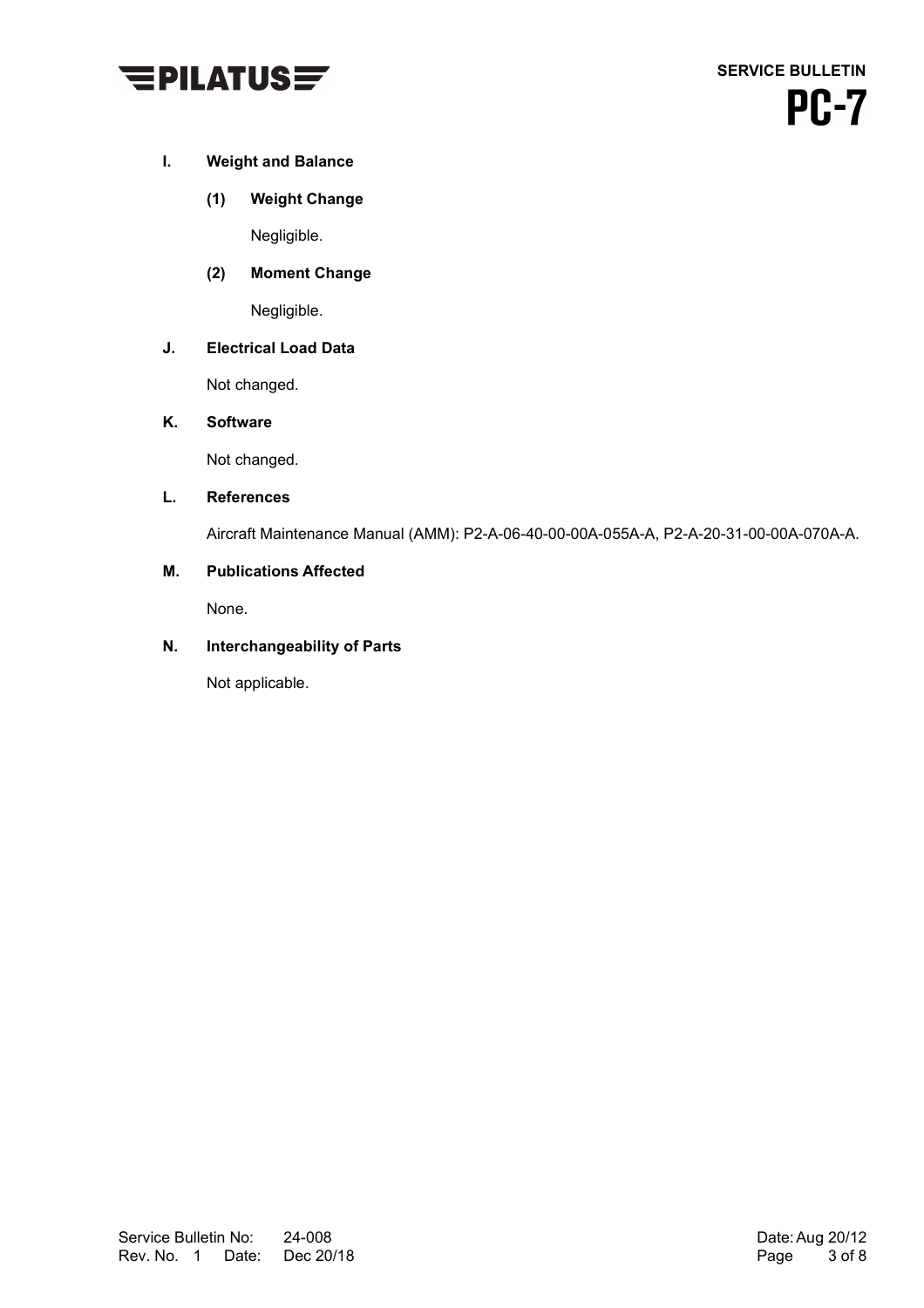

- **I. Weight and Balance**
	- **(1) Weight Change**

Negligible.

**(2) Moment Change**

Negligible.

# **J. Electrical Load Data**

Not changed.

## **K. Software**

Not changed.

### **L. References**

Aircraft Maintenance Manual (AMM): P2-A-06-40-00-00A-055A-A, P2-A-20-31-00-00A-070A-A.

# **M. Publications Affected**

None.

# **N. Interchangeability of Parts**

Not applicable.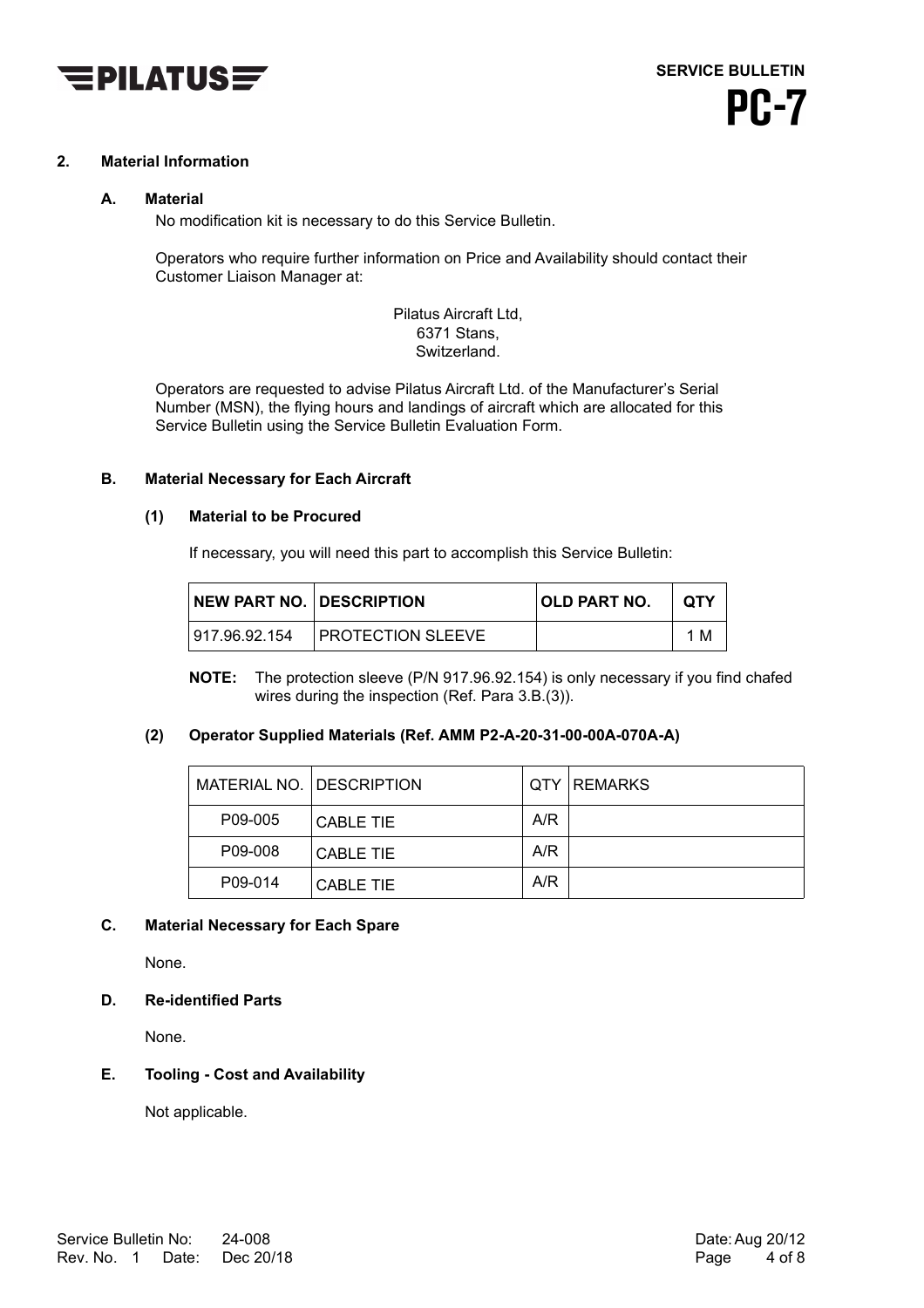

### **2. Material Information**

## **A. Material**

No modification kit is necessary to do this Service Bulletin.

Operators who require further information on Price and Availability should contact their Customer Liaison Manager at:

> Pilatus Aircraft Ltd, 6371 Stans, Switzerland.

Operators are requested to advise Pilatus Aircraft Ltd. of the Manufacturer's Serial Number (MSN), the flying hours and landings of aircraft which are allocated for this Service Bulletin using the Service Bulletin Evaluation Form.

### **B. Material Necessary for Each Aircraft**

### **(1) Material to be Procured**

If necessary, you will need this part to accomplish this Service Bulletin:

| <b>NEW PART NO. DESCRIPTION</b> |                          | <b>OLD PART NO.</b> | <b>OTY</b> |
|---------------------------------|--------------------------|---------------------|------------|
| 1917.96.92.154                  | <b>PROTECTION SLEEVE</b> |                     | 1 M        |

**NOTE:** The protection sleeve (P/N 917.96.92.154) is only necessary if you find chafed wires during the inspection (Ref. Para 3.B.(3)).

### **(2) Operator Supplied Materials (Ref. AMM P2-A-20-31-00-00A-070A-A)**

| MATERIAL NO.   DESCRIPTION |                  |     | QTY   REMARKS |
|----------------------------|------------------|-----|---------------|
| P09-005                    | <b>CABLE TIE</b> | A/R |               |
| P09-008                    | <b>CABLE TIE</b> | A/R |               |
| P09-014                    | <b>CABLE TIE</b> | A/R |               |

## **C. Material Necessary for Each Spare**

None.

### **D. Re-identified Parts**

None.

### **E. Tooling - Cost and Availability**

Not applicable.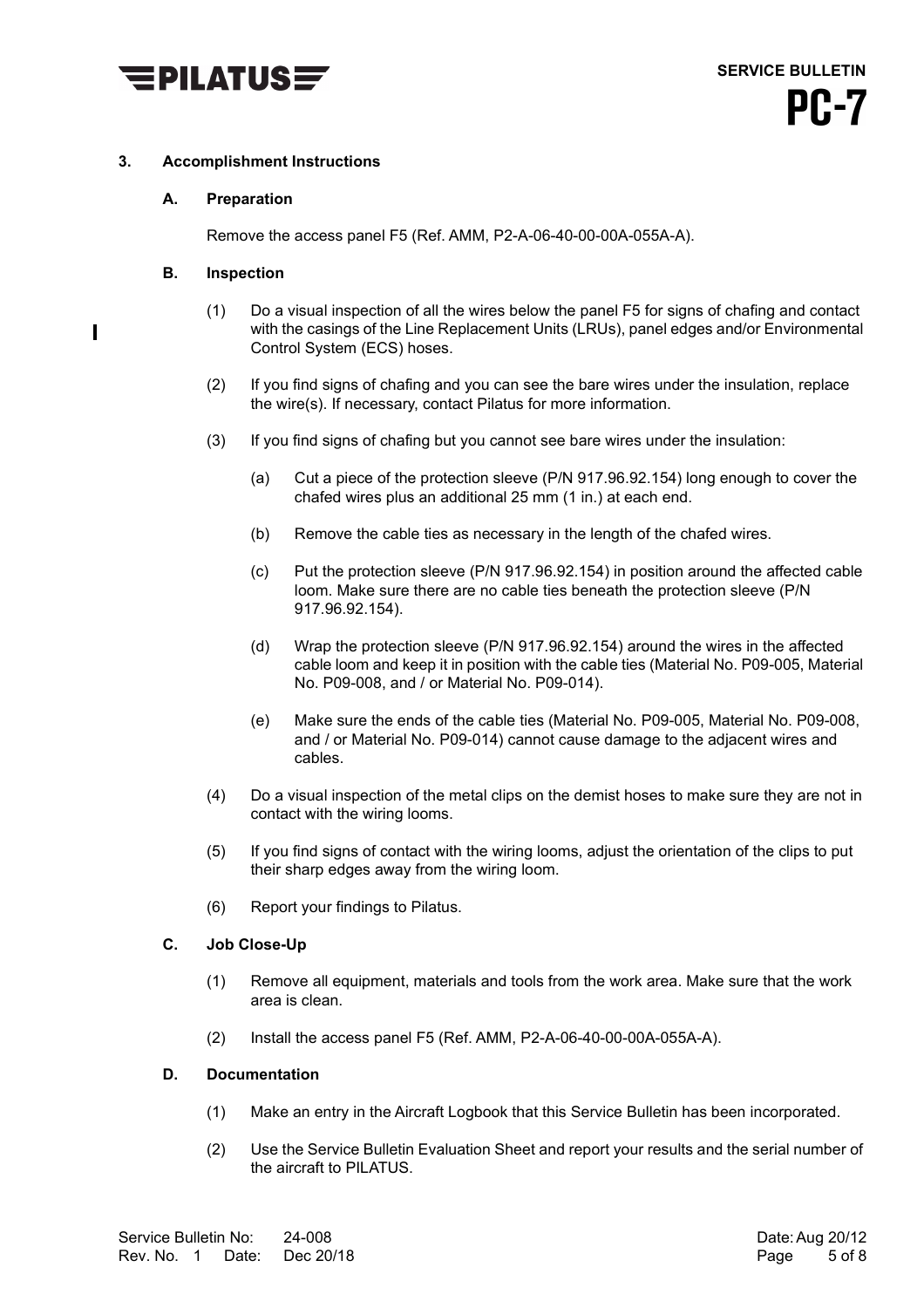

### **3. Accomplishment Instructions**

### **A. Preparation**

Remove the access panel F5 (Ref. AMM, P2-A-06-40-00-00A-055A-A).

#### **B. Inspection**

Ī

- (1) Do a visual inspection of all the wires below the panel F5 for signs of chafing and contact with the casings of the Line Replacement Units (LRUs), panel edges and/or Environmental Control System (ECS) hoses.
- (2) If you find signs of chafing and you can see the bare wires under the insulation, replace the wire(s). If necessary, contact Pilatus for more information.
- (3) If you find signs of chafing but you cannot see bare wires under the insulation:
	- (a) Cut a piece of the protection sleeve (P/N 917.96.92.154) long enough to cover the chafed wires plus an additional 25 mm (1 in.) at each end.
	- (b) Remove the cable ties as necessary in the length of the chafed wires.
	- (c) Put the protection sleeve (P/N 917.96.92.154) in position around the affected cable loom. Make sure there are no cable ties beneath the protection sleeve (P/N 917.96.92.154).
	- (d) Wrap the protection sleeve (P/N 917.96.92.154) around the wires in the affected cable loom and keep it in position with the cable ties (Material No. P09-005, Material No. P09-008, and / or Material No. P09-014).
	- (e) Make sure the ends of the cable ties (Material No. P09-005, Material No. P09-008, and / or Material No. P09-014) cannot cause damage to the adjacent wires and cables.
- (4) Do a visual inspection of the metal clips on the demist hoses to make sure they are not in contact with the wiring looms.
- (5) If you find signs of contact with the wiring looms, adjust the orientation of the clips to put their sharp edges away from the wiring loom.
- (6) Report your findings to Pilatus.

## **C. Job Close-Up**

- (1) Remove all equipment, materials and tools from the work area. Make sure that the work area is clean.
- (2) Install the access panel F5 (Ref. AMM, P2-A-06-40-00-00A-055A-A).

### **D. Documentation**

- (1) Make an entry in the Aircraft Logbook that this Service Bulletin has been incorporated.
- (2) Use the Service Bulletin Evaluation Sheet and report your results and the serial number of the aircraft to PILATUS.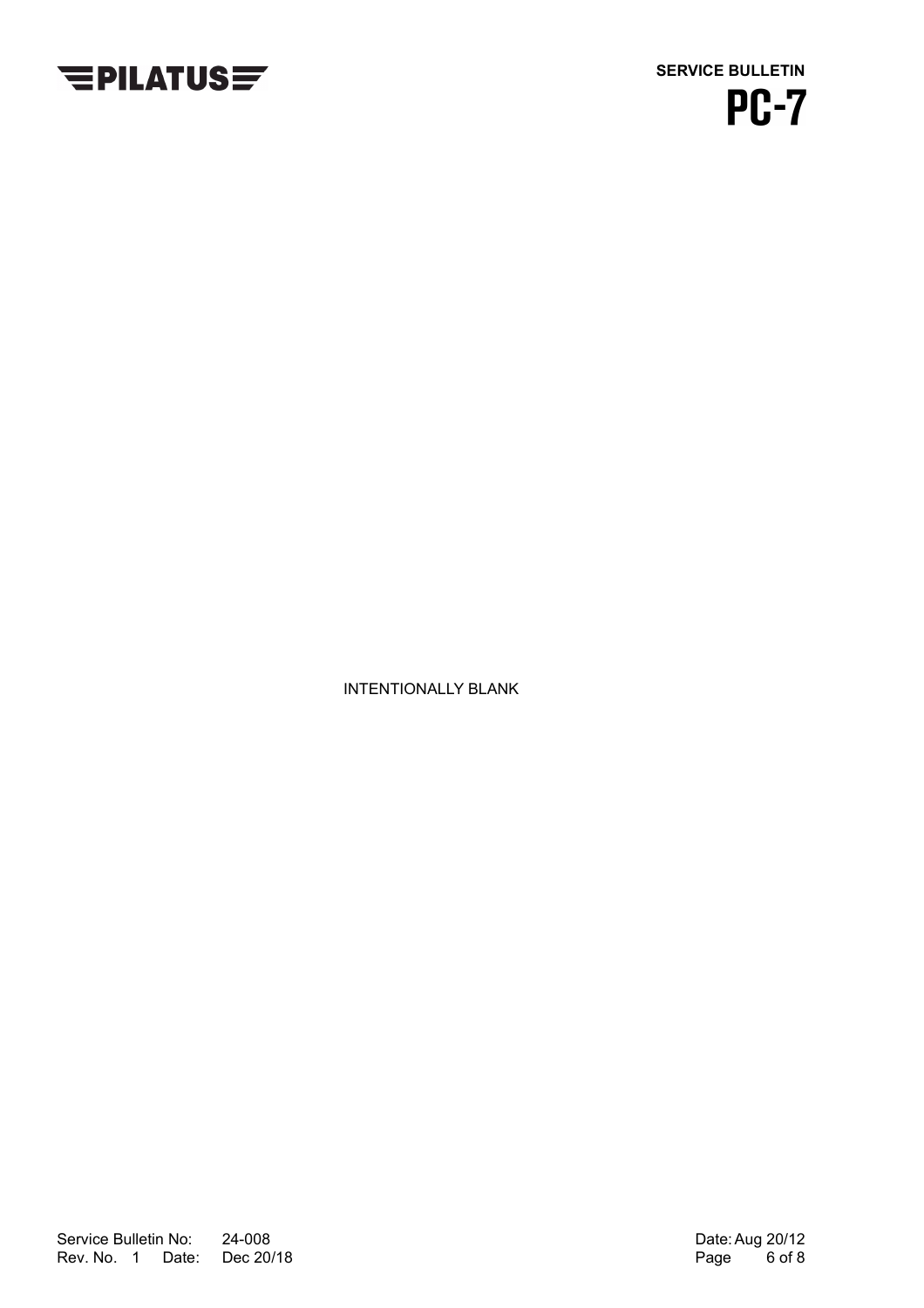



INTENTIONALLY BLANK

Service Bulletin No: 24-008 Date: Aug 20/12 Rev. No. 1 Date: Dec 20/18 Page 6 of 8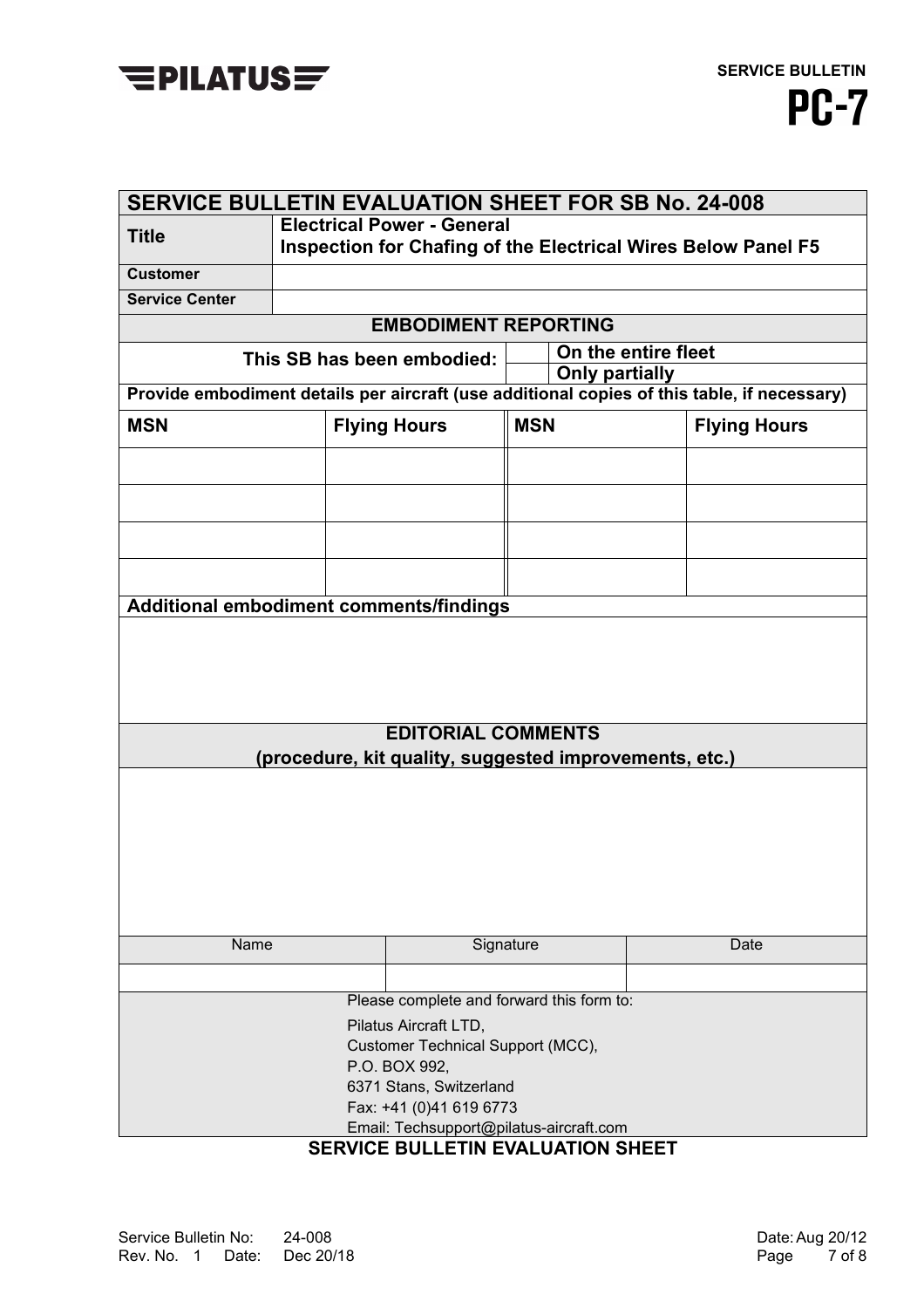

| <b>SERVICE BULLETIN EVALUATION SHEET FOR SB No. 24-008</b>                                                           |                                                                                                    |                           |                                                        |                     |  |  |
|----------------------------------------------------------------------------------------------------------------------|----------------------------------------------------------------------------------------------------|---------------------------|--------------------------------------------------------|---------------------|--|--|
| <b>Title</b>                                                                                                         | <b>Electrical Power - General</b><br>Inspection for Chafing of the Electrical Wires Below Panel F5 |                           |                                                        |                     |  |  |
| <b>Customer</b>                                                                                                      |                                                                                                    |                           |                                                        |                     |  |  |
| <b>Service Center</b>                                                                                                |                                                                                                    |                           |                                                        |                     |  |  |
| <b>EMBODIMENT REPORTING</b>                                                                                          |                                                                                                    |                           |                                                        |                     |  |  |
|                                                                                                                      | This SB has been embodied:                                                                         |                           |                                                        | On the entire fleet |  |  |
| <b>Only partially</b><br>Provide embodiment details per aircraft (use additional copies of this table, if necessary) |                                                                                                    |                           |                                                        |                     |  |  |
| <b>MSN</b>                                                                                                           |                                                                                                    | <b>Flying Hours</b>       | <b>MSN</b>                                             | <b>Flying Hours</b> |  |  |
|                                                                                                                      |                                                                                                    |                           |                                                        |                     |  |  |
|                                                                                                                      |                                                                                                    |                           |                                                        |                     |  |  |
|                                                                                                                      |                                                                                                    |                           |                                                        |                     |  |  |
|                                                                                                                      |                                                                                                    |                           |                                                        |                     |  |  |
| <b>Additional embodiment comments/findings</b>                                                                       |                                                                                                    |                           |                                                        |                     |  |  |
|                                                                                                                      |                                                                                                    |                           |                                                        |                     |  |  |
|                                                                                                                      |                                                                                                    | <b>EDITORIAL COMMENTS</b> | (procedure, kit quality, suggested improvements, etc.) |                     |  |  |
|                                                                                                                      |                                                                                                    |                           |                                                        |                     |  |  |
|                                                                                                                      |                                                                                                    |                           |                                                        |                     |  |  |
|                                                                                                                      |                                                                                                    |                           |                                                        |                     |  |  |
|                                                                                                                      |                                                                                                    |                           |                                                        |                     |  |  |
|                                                                                                                      |                                                                                                    |                           |                                                        |                     |  |  |
|                                                                                                                      |                                                                                                    |                           |                                                        |                     |  |  |
| Name                                                                                                                 |                                                                                                    | Signature                 |                                                        | Date                |  |  |
|                                                                                                                      |                                                                                                    |                           |                                                        |                     |  |  |
| Please complete and forward this form to:                                                                            |                                                                                                    |                           |                                                        |                     |  |  |
| Pilatus Aircraft LTD,                                                                                                |                                                                                                    |                           |                                                        |                     |  |  |
| Customer Technical Support (MCC),                                                                                    |                                                                                                    |                           |                                                        |                     |  |  |
| P.O. BOX 992,                                                                                                        |                                                                                                    |                           |                                                        |                     |  |  |
|                                                                                                                      |                                                                                                    | 6371 Stans, Switzerland   |                                                        |                     |  |  |
|                                                                                                                      |                                                                                                    | Fax: +41 (0)41 619 6773   |                                                        |                     |  |  |
| Email: Techsupport@pilatus-aircraft.com<br>SERVICE BULLETIN EVALUATION SHEET                                         |                                                                                                    |                           |                                                        |                     |  |  |